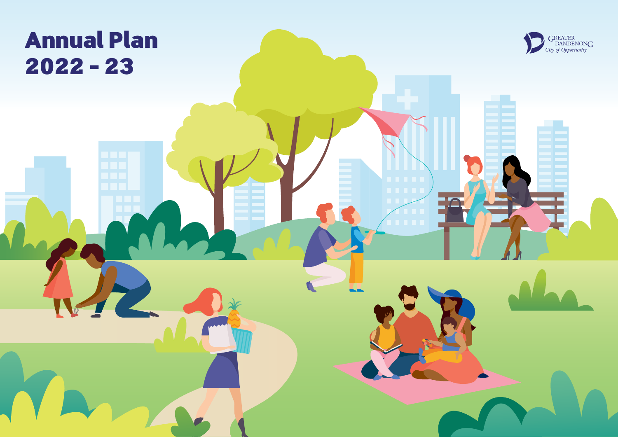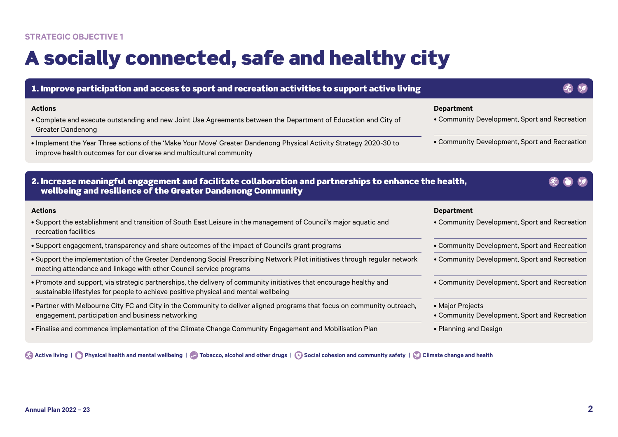# A socially connected, safe and healthy city

| 1. Improve participation and access to sport and recreation activities to support active living                                                                                                            |                                                                    |
|------------------------------------------------------------------------------------------------------------------------------------------------------------------------------------------------------------|--------------------------------------------------------------------|
| <b>Actions</b><br>• Complete and execute outstanding and new Joint Use Agreements between the Department of Education and City of<br><b>Greater Dandenong</b>                                              | <b>Department</b><br>• Community Development, Sport and Recreation |
| • Implement the Year Three actions of the 'Make Your Move' Greater Dandenong Physical Activity Strategy 2020-30 to<br>improve health outcomes for our diverse and multicultural community                  | • Community Development, Sport and Recreation                      |
| 2. Increase meaningful engagement and facilitate collaboration and partnerships to enhance the health,<br>wellbeing and resilience of the Greater Dandenong Community                                      |                                                                    |
| <b>Actions</b>                                                                                                                                                                                             | <b>Department</b>                                                  |
| • Support the establishment and transition of South East Leisure in the management of Council's major aquatic and<br>recreation facilities                                                                 | • Community Development, Sport and Recreation                      |
| • Support engagement, transparency and share outcomes of the impact of Council's grant programs                                                                                                            | • Community Development, Sport and Recreation                      |
| . Support the implementation of the Greater Dandenong Social Prescribing Network Pilot initiatives through regular network<br>meeting attendance and linkage with other Council service programs           | • Community Development, Sport and Recreation                      |
| • Promote and support, via strategic partnerships, the delivery of community initiatives that encourage healthy and<br>sustainable lifestyles for people to achieve positive physical and mental wellbeing | • Community Development, Sport and Recreation                      |
| . Partner with Melbourne City FC and City in the Community to deliver aligned programs that focus on community outreach,                                                                                   | • Major Projects                                                   |
| engagement, participation and business networking                                                                                                                                                          | • Community Development, Sport and Recreation                      |
| • Finalise and commence implementation of the Climate Change Community Engagement and Mobilisation Plan                                                                                                    | • Planning and Design                                              |

**Active living | Physical health and mental wellbeing | Active 3 Tobacco, alcohol and other drugs | C Social cohesion and community safety | C Climate change and health**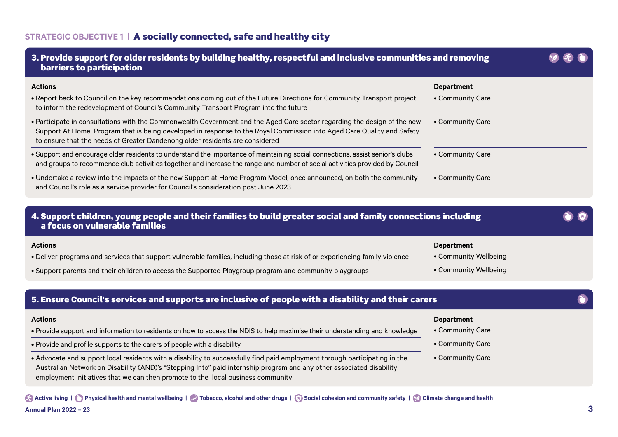| 3. Provide support for older residents by building healthy, respectful and inclusive communities and removing<br><b>barriers to participation</b>                                                                                                                                                                                     |                                            |  |
|---------------------------------------------------------------------------------------------------------------------------------------------------------------------------------------------------------------------------------------------------------------------------------------------------------------------------------------|--------------------------------------------|--|
| <b>Actions</b>                                                                                                                                                                                                                                                                                                                        | <b>Department</b>                          |  |
| . Report back to Council on the key recommendations coming out of the Future Directions for Community Transport project<br>to inform the redevelopment of Council's Community Transport Program into the future                                                                                                                       | • Community Care                           |  |
| · Participate in consultations with the Commonwealth Government and the Aged Care sector regarding the design of the new<br>Support At Home Program that is being developed in response to the Royal Commission into Aged Care Quality and Safety<br>to ensure that the needs of Greater Dandenong older residents are considered     | • Community Care                           |  |
| · Support and encourage older residents to understand the importance of maintaining social connections, assist senior's clubs<br>and groups to recommence club activities together and increase the range and number of social activities provided by Council                                                                         | • Community Care                           |  |
| • Undertake a review into the impacts of the new Support at Home Program Model, once announced, on both the community<br>and Council's role as a service provider for Council's consideration post June 2023                                                                                                                          | • Community Care                           |  |
| 4. Support children, young people and their families to build greater social and family connections including<br>a focus on vulnerable families                                                                                                                                                                                       |                                            |  |
| <b>Actions</b><br>. Deliver programs and services that support vulnerable families, including those at risk of or experiencing family violence                                                                                                                                                                                        | <b>Department</b><br>• Community Wellbeing |  |
| . Support parents and their children to access the Supported Playgroup program and community playgroups                                                                                                                                                                                                                               | • Community Wellbeing                      |  |
| 5. Ensure Council's services and supports are inclusive of people with a disability and their carers                                                                                                                                                                                                                                  |                                            |  |
| <b>Actions</b>                                                                                                                                                                                                                                                                                                                        | <b>Department</b>                          |  |
| • Provide support and information to residents on how to access the NDIS to help maximise their understanding and knowledge                                                                                                                                                                                                           | • Community Care                           |  |
| • Provide and profile supports to the carers of people with a disability                                                                                                                                                                                                                                                              | • Community Care                           |  |
| • Advocate and support local residents with a disability to successfully find paid employment through participating in the<br>Australian Network on Disability (AND)'s "Stepping Into" paid internship program and any other associated disability<br>employment initiatives that we can then promote to the local business community | • Community Care                           |  |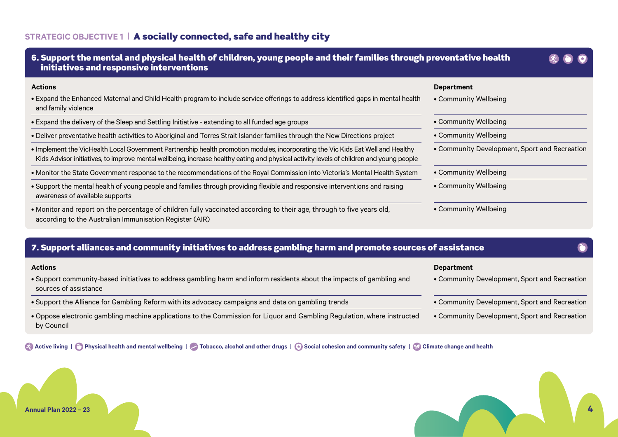| 6. Support the mental and physical health of children, young people and their families through preventative health<br>initiatives and responsive interventions                                                                                                               |                                               |
|------------------------------------------------------------------------------------------------------------------------------------------------------------------------------------------------------------------------------------------------------------------------------|-----------------------------------------------|
| <b>Actions</b>                                                                                                                                                                                                                                                               | <b>Department</b>                             |
| • Expand the Enhanced Maternal and Child Health program to include service offerings to address identified gaps in mental health<br>and family violence                                                                                                                      | • Community Wellbeing                         |
| • Expand the delivery of the Sleep and Settling Initiative - extending to all funded age groups                                                                                                                                                                              | • Community Wellbeing                         |
| • Deliver preventative health activities to Aboriginal and Torres Strait Islander families through the New Directions project                                                                                                                                                | • Community Wellbeing                         |
| • Implement the VicHealth Local Government Partnership health promotion modules, incorporating the Vic Kids Eat Well and Healthy<br>Kids Advisor initiatives, to improve mental wellbeing, increase healthy eating and physical activity levels of children and young people | • Community Development, Sport and Recreation |
| • Monitor the State Government response to the recommendations of the Royal Commission into Victoria's Mental Health System                                                                                                                                                  | • Community Wellbeing                         |
| • Support the mental health of young people and families through providing flexible and responsive interventions and raising<br>awareness of available supports                                                                                                              | • Community Wellbeing                         |
| • Monitor and report on the percentage of children fully vaccinated according to their age, through to five years old,<br>according to the Australian Immunisation Register (AIR)                                                                                            | • Community Wellbeing                         |

# 7. Support alliances and community initiatives to address gambling harm and promote sources of assistance

| <b>Actions</b>                                                                                                                                 | Department                                    |
|------------------------------------------------------------------------------------------------------------------------------------------------|-----------------------------------------------|
| . Support community-based initiatives to address gambling harm and inform residents about the impacts of gambling and<br>sources of assistance | • Community Development, Sport and Recreation |
| . Support the Alliance for Gambling Reform with its advocacy campaigns and data on gambling trends                                             | • Community Development, Sport and Recreation |
| . Oppose electronic gambling machine applications to the Commission for Liquor and Gambling Regulation, where instructed<br>by Council         | • Community Development, Sport and Recreation |

**Active living | C** Physical health and mental wellbeing | C Tobacco, alcohol and other drugs | **C** Social cohesion and community safety | **C** Climate change and health



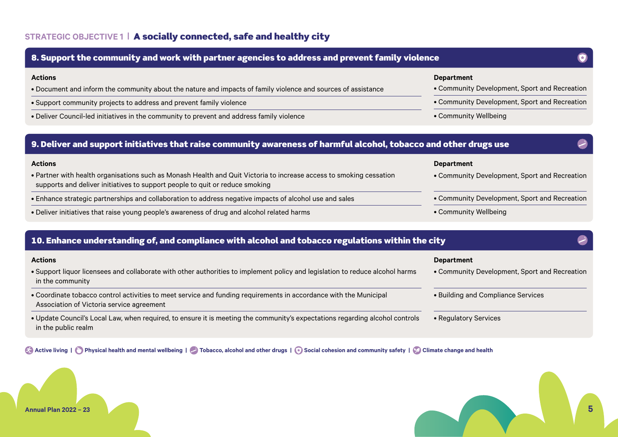

### 10. Enhance understanding of, and compliance with alcohol and tobacco regulations within the city

| <b>Actions</b>                                                                                                                                                 | <b>Department</b>                             |
|----------------------------------------------------------------------------------------------------------------------------------------------------------------|-----------------------------------------------|
| . Support liquor licensees and collaborate with other authorities to implement policy and legislation to reduce alcohol harms<br>in the community              | • Community Development, Sport and Recreation |
| • Coordinate tobacco control activities to meet service and funding requirements in accordance with the Municipal<br>Association of Victoria service agreement | • Building and Compliance Services            |
| . Update Council's Local Law, when required, to ensure it is meeting the community's expectations regarding alcohol controls<br>in the public realm            | • Regulatory Services                         |

**Active living | Physical health and mental wellbeing | Cobacco, alcohol and other drugs | Cocial cohesion and community safety | Colimate change and health** 

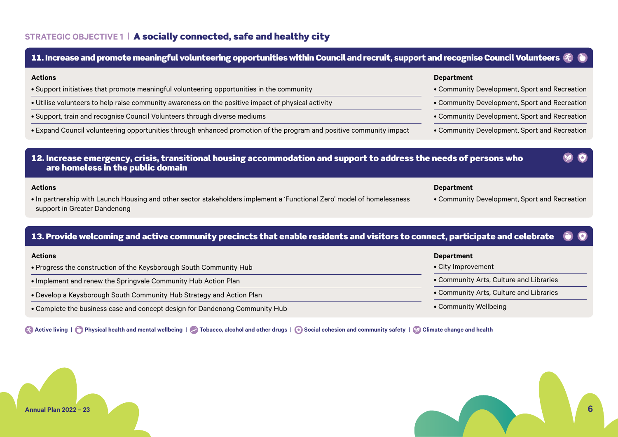### 12. Increase emergency, crisis, transitional housing accommodation and support to address the needs of persons who are homeless in the public domain **Actions** • In partnership with Launch Housing and other sector stakeholders implement a 'Functional Zero' model of homelessness support in Greater Dandenong **Department** • Community Development, Sport and Recreation 13. Provide welcoming and active community precincts that enable residents and visitors to connect, participate and celebrate **Actions** • Progress the construction of the Keysborough South Community Hub • Implement and renew the Springvale Community Hub Action Plan **Department** • City Improvement 11. Increase and promote meaningful volunteering opportunities within Council and recruit, support and recognise Council Volunteers  $\mathscr{R}$ **Actions** • Support initiatives that promote meaningful volunteering opportunities in the community • Utilise volunteers to help raise community awareness on the positive impact of physical activity • Support, train and recognise Council Volunteers through diverse mediums • Expand Council volunteering opportunities through enhanced promotion of the program and positive community impact **Department** • Community Development, Sport and Recreation • Community Development, Sport and Recreation • Community Development, Sport and Recreation • Community Development, Sport and Recreation

- Develop a Keysborough South Community Hub Strategy and Action Plan
- Complete the business case and concept design for Dandenong Community Hub

**Active living | Physical health and mental wellbeing | Active 1 Tobacco, alcohol and other drugs | a Social cohesion and community safety | Colimate change and health** 



- Community Arts, Culture and Libraries
- Community Arts, Culture and Libraries
- Community Wellbeing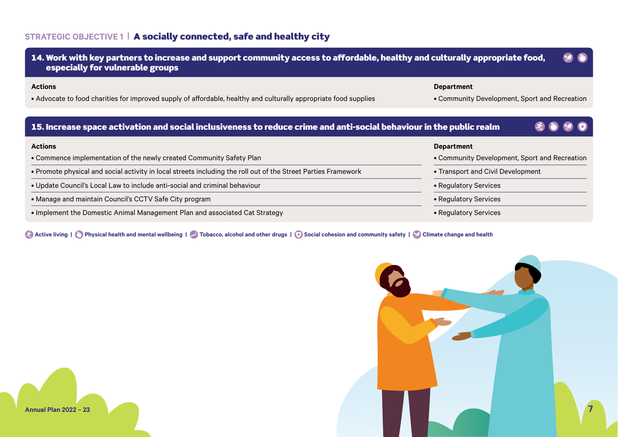| 14. Work with key partners to increase and support community access to affordable, healthy and culturally appropriate food,<br>especially for vulnerable groups |                                                                    |
|-----------------------------------------------------------------------------------------------------------------------------------------------------------------|--------------------------------------------------------------------|
| <b>Actions</b><br>• Advocate to food charities for improved supply of affordable, healthy and culturally appropriate food supplies                              | <b>Department</b><br>• Community Development, Sport and Recreation |
| 15. Increase space activation and social inclusiveness to reduce crime and anti-social behaviour in the public realm                                            |                                                                    |
|                                                                                                                                                                 |                                                                    |
| <b>Actions</b>                                                                                                                                                  | <b>Department</b>                                                  |
| • Commence implementation of the newly created Community Safety Plan                                                                                            | • Community Development, Sport and Recreation                      |
| • Promote physical and social activity in local streets including the roll out of the Street Parties Framework                                                  | • Transport and Civil Development                                  |
| . Update Council's Local Law to include anti-social and criminal behaviour                                                                                      | • Regulatory Services                                              |
| • Manage and maintain Council's CCTV Safe City program                                                                                                          | • Regulatory Services                                              |

**Active living | O** Physical health and mental wellbeing | **C** Tobacco, alcohol and other drugs | **C** Social cohesion and community safety | **C** Climate change and health

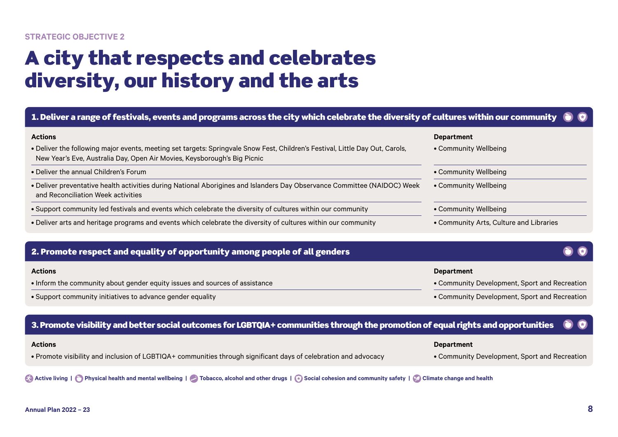### **STRATEGIC OBJECTIVE 2**

# A city that respects and celebrates diversity, our history and the arts

| 1. Deliver a range of festivals, events and programs across the city which celebrate the diversity of cultures within our community                                                                                         |                                            |
|-----------------------------------------------------------------------------------------------------------------------------------------------------------------------------------------------------------------------------|--------------------------------------------|
| <b>Actions</b><br>. Deliver the following major events, meeting set targets: Springvale Snow Fest, Children's Festival, Little Day Out, Carols,<br>New Year's Eve, Australia Day, Open Air Movies, Keysborough's Big Picnic | <b>Department</b><br>• Community Wellbeing |
| • Deliver the annual Children's Forum                                                                                                                                                                                       | • Community Wellbeing                      |
| . Deliver preventative health activities during National Aborigines and Islanders Day Observance Committee (NAIDOC) Week<br>and Reconciliation Week activities                                                              | • Community Wellbeing                      |
| • Support community led festivals and events which celebrate the diversity of cultures within our community                                                                                                                 | • Community Wellbeing                      |
| • Deliver arts and heritage programs and events which celebrate the diversity of cultures within our community                                                                                                              | • Community Arts, Culture and Libraries    |

### 2. Promote respect and equality of opportunity among people of all genders

| <b>Actions</b>                                                              | Department                                    |
|-----------------------------------------------------------------------------|-----------------------------------------------|
| • Inform the community about gender equity issues and sources of assistance | • Community Development, Sport and Recreation |
| • Support community initiatives to advance gender equality                  | • Community Development, Sport and Recreation |

### 3. Promote visibility and better social outcomes for LGBTQIA+ communities through the promotion of equal rights and opportunities

| <b>Actions</b>                                                                                                  | <b>Department</b>                             |
|-----------------------------------------------------------------------------------------------------------------|-----------------------------------------------|
| • Promote visibility and inclusion of LGBTIQA+ communities through significant days of celebration and advocacy | • Community Development, Sport and Recreation |

### **Active living | Physical health and mental wellbeing | Active 1 Tobacco, alcohol and other drugs | Cocial cohesion and community safety | Colimate change and health**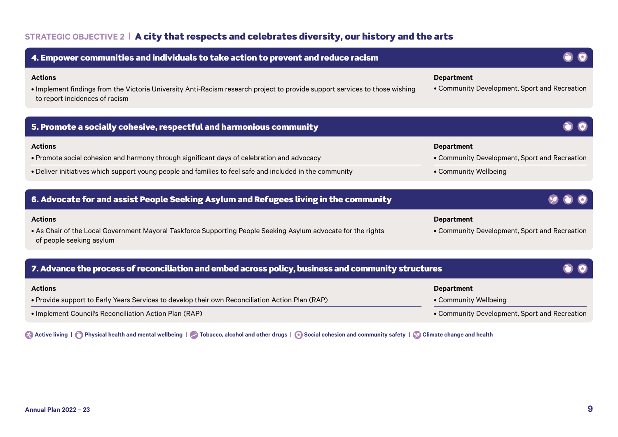### **STRATEGIC OBJECTIVE 2 |** A city that respects and celebrates diversity, our history and the arts

| 4. Empower communities and individuals to take action to prevent and reduce racism                                                                                              |                                                                    |
|---------------------------------------------------------------------------------------------------------------------------------------------------------------------------------|--------------------------------------------------------------------|
| <b>Actions</b><br>. Implement findings from the Victoria University Anti-Racism research project to provide support services to those wishing<br>to report incidences of racism | <b>Department</b><br>• Community Development, Sport and Recreation |
| 5. Promote a socially cohesive, respectful and harmonious community                                                                                                             |                                                                    |
| <b>Actions</b>                                                                                                                                                                  | <b>Department</b>                                                  |
| • Promote social cohesion and harmony through significant days of celebration and advocacy                                                                                      | • Community Development, Sport and Recreation                      |
| . Deliver initiatives which support young people and families to feel safe and included in the community                                                                        | • Community Wellbeing                                              |
|                                                                                                                                                                                 |                                                                    |
| 6. Advocate for and assist People Seeking Asylum and Refugees living in the community                                                                                           |                                                                    |
| <b>Actions</b>                                                                                                                                                                  | <b>Department</b>                                                  |
| . As Chair of the Local Government Mayoral Taskforce Supporting People Seeking Asylum advocate for the rights<br>of people seeking asylum                                       | • Community Development, Sport and Recreation                      |
| 7. Advance the process of reconciliation and embed across policy, business and community structures                                                                             |                                                                    |
|                                                                                                                                                                                 |                                                                    |
| <b>Actions</b>                                                                                                                                                                  | <b>Department</b>                                                  |
| . Provide support to Early Years Services to develop their own Reconciliation Action Plan (RAP)                                                                                 |                                                                    |

# • Implement Council's Reconciliation Action Plan (RAP)

**Active living | Physical health and mental wellbeing | A** Tobacco, alcohol and other drugs | **A** Social cohesion and community safety | **C** Climate change and health

• Community Development, Sport and Recreation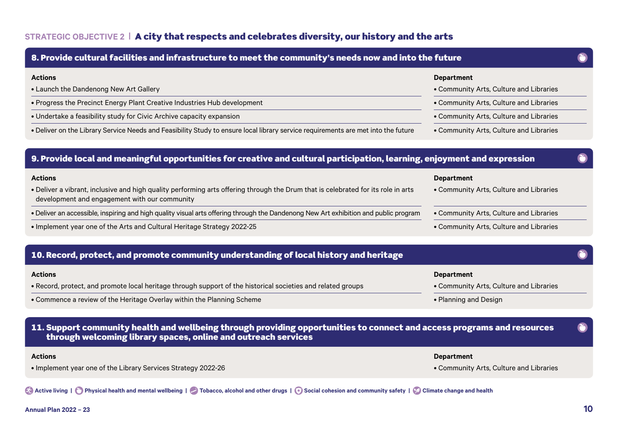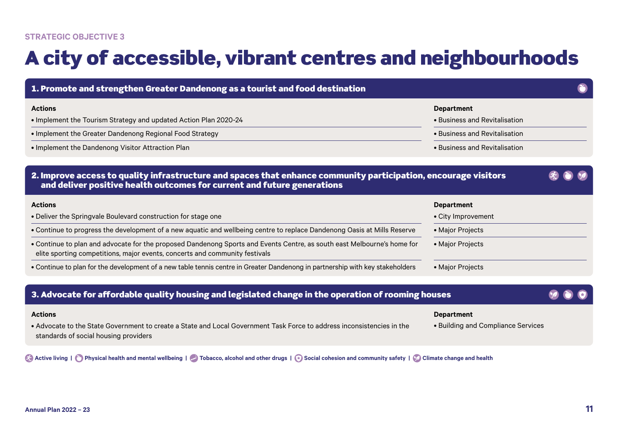# A city of accessible, vibrant centres and neighbourhoods

| 1. Promote and strengthen Greater Dandenong as a tourist and food destination                                                                                                                          |                                                         |  |
|--------------------------------------------------------------------------------------------------------------------------------------------------------------------------------------------------------|---------------------------------------------------------|--|
| <b>Actions</b><br>• Implement the Tourism Strategy and updated Action Plan 2020-24                                                                                                                     | <b>Department</b><br>• Business and Revitalisation      |  |
| • Implement the Greater Dandenong Regional Food Strategy                                                                                                                                               | • Business and Revitalisation                           |  |
| • Implement the Dandenong Visitor Attraction Plan                                                                                                                                                      | • Business and Revitalisation                           |  |
| 2. Improve access to quality infrastructure and spaces that enhance community participation, encourage visitors<br>and deliver positive health outcomes for current and future generations             |                                                         |  |
| <b>Actions</b>                                                                                                                                                                                         | <b>Department</b>                                       |  |
| • Deliver the Springvale Boulevard construction for stage one                                                                                                                                          | • City Improvement                                      |  |
| • Continue to progress the development of a new aquatic and wellbeing centre to replace Dandenong Oasis at Mills Reserve                                                                               | • Major Projects                                        |  |
| • Continue to plan and advocate for the proposed Dandenong Sports and Events Centre, as south east Melbourne's home for<br>elite sporting competitions, major events, concerts and community festivals | • Major Projects                                        |  |
| • Continue to plan for the development of a new table tennis centre in Greater Dandenong in partnership with key stakeholders                                                                          | • Major Projects                                        |  |
| 3. Advocate for affordable quality housing and legislated change in the operation of rooming houses                                                                                                    |                                                         |  |
| <b>Actions</b><br>• Advocate to the State Government to create a State and Local Government Task Force to address inconsistencies in the<br>standards of social housing providers                      | <b>Department</b><br>• Building and Compliance Services |  |

**Active living | C** Physical health and mental wellbeing | **C** Tobacco, alcohol and other drugs | **A** Social cohesion and community safety | **C** Climate change and health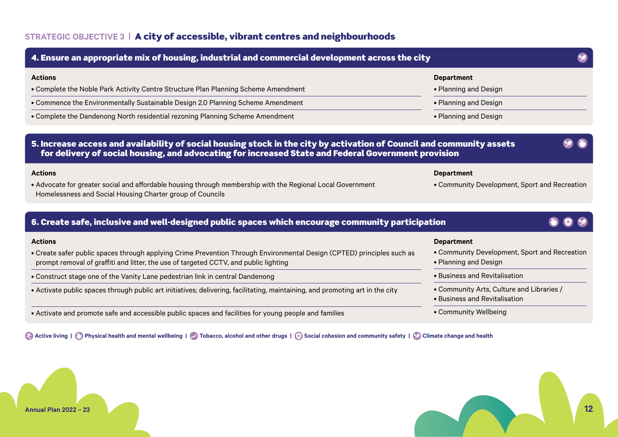### **STRATEGIC OBJECTIVE 3 |** A city of accessible, vibrant centres and neighbourhoods

### 5. Increase access and availability of social housing stock in the city by activation of Council and community assets for delivery of social housing, and advocating for increased State and Federal Government provision **Actions** • Advocate for greater social and affordable housing through membership with the Regional Local Government Homelessness and Social Housing Charter group of Councils **Department** • Community Development, Sport and Recreation 4. Ensure an appropriate mix of housing, industrial and commercial development across the city **Actions** • Complete the Noble Park Activity Centre Structure Plan Planning Scheme Amendment • Commence the Environmentally Sustainable Design 2.0 Planning Scheme Amendment • Complete the Dandenong North residential rezoning Planning Scheme Amendment **Department** • Planning and Design • Planning and Design • Planning and Design 6. Create safe, inclusive and well-designed public spaces which encourage community participation **Actions** • Create safer public spaces through applying Crime Prevention Through Environmental Design (CPTED) principles such as prompt removal of graffiti and litter, the use of targeted CCTV, and public lighting • Construct stage one of the Vanity Lane pedestrian link in central Dandenong • Activate public spaces through public art initiatives; delivering, facilitating, maintaining, and promoting art in the city • Activate and promote safe and accessible public spaces and facilities for young people and families **Department** • Community Development, Sport and Recreation • Planning and Design • Business and Revitalisation • Community Arts, Culture and Libraries / • Business and Revitalisation

**Active living | Physical health and mental wellbeing | Active 1 Tobacco, alcohol and other drugs | a Social cohesion and community safety | Colimate change and health** 



• Community Wellbeing

**Annual Plan 2022 – 23 12**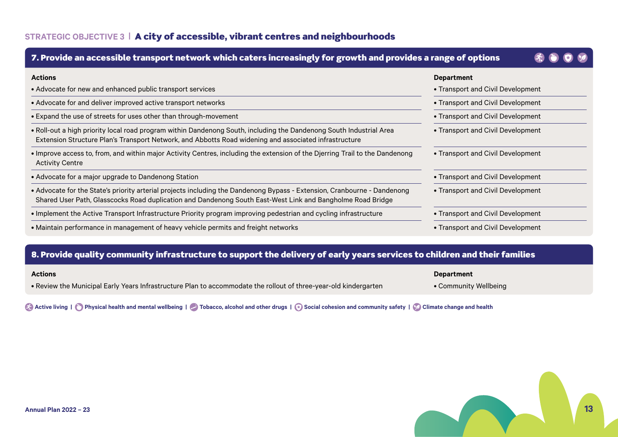### **STRATEGIC OBJECTIVE 3 |** A city of accessible, vibrant centres and neighbourhoods

| 7. Provide an accessible transport network which caters increasingly for growth and provides a range of options                                                                                                                        |                                   |
|----------------------------------------------------------------------------------------------------------------------------------------------------------------------------------------------------------------------------------------|-----------------------------------|
| <b>Actions</b>                                                                                                                                                                                                                         | <b>Department</b>                 |
| • Advocate for new and enhanced public transport services                                                                                                                                                                              | • Transport and Civil Development |
| • Advocate for and deliver improved active transport networks                                                                                                                                                                          | • Transport and Civil Development |
| • Expand the use of streets for uses other than through-movement                                                                                                                                                                       | • Transport and Civil Development |
| . Roll-out a high priority local road program within Dandenong South, including the Dandenong South Industrial Area<br>Extension Structure Plan's Transport Network, and Abbotts Road widening and associated infrastructure           | • Transport and Civil Development |
| • Improve access to, from, and within major Activity Centres, including the extension of the Djerring Trail to the Dandenong<br><b>Activity Centre</b>                                                                                 | • Transport and Civil Development |
| • Advocate for a major upgrade to Dandenong Station                                                                                                                                                                                    | • Transport and Civil Development |
| • Advocate for the State's priority arterial projects including the Dandenong Bypass - Extension, Cranbourne - Dandenong<br>Shared User Path, Glasscocks Road duplication and Dandenong South East-West Link and Bangholme Road Bridge | • Transport and Civil Development |
| . Implement the Active Transport Infrastructure Priority program improving pedestrian and cycling infrastructure                                                                                                                       | • Transport and Civil Development |
| • Maintain performance in management of heavy vehicle permits and freight networks                                                                                                                                                     | • Transport and Civil Development |

### 8. Provide quality community infrastructure to support the delivery of early years services to children and their families

| <b>Actions</b> |  |
|----------------|--|
|                |  |

• Review the Municipal Early Years Infrastructure Plan to accommodate the rollout of three-year-old kindergarten

**Department**

• Community Wellbeing

**Active living | C** Physical health and mental wellbeing | C Tobacco, alcohol and other drugs | C Social cohesion and community safety | C Climate change and health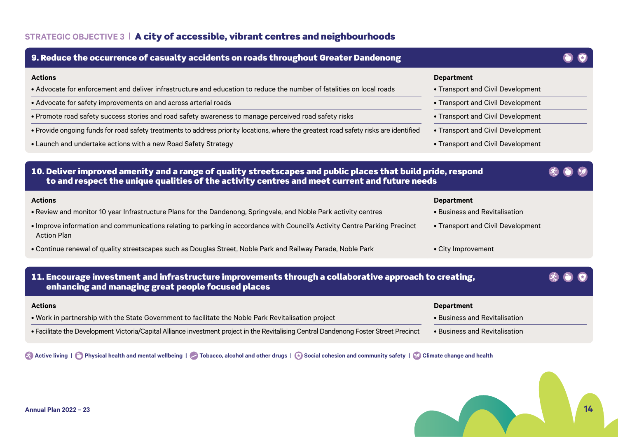| 9. Reduce the occurrence of casualty accidents on roads throughout Greater Dandenong                                                                                                                          |                                                        |  |
|---------------------------------------------------------------------------------------------------------------------------------------------------------------------------------------------------------------|--------------------------------------------------------|--|
| <b>Actions</b><br>• Advocate for enforcement and deliver infrastructure and education to reduce the number of fatalities on local roads                                                                       | <b>Department</b><br>• Transport and Civil Development |  |
| • Advocate for safety improvements on and across arterial roads                                                                                                                                               | • Transport and Civil Development                      |  |
| • Promote road safety success stories and road safety awareness to manage perceived road safety risks                                                                                                         | • Transport and Civil Development                      |  |
| • Provide ongoing funds for road safety treatments to address priority locations, where the greatest road safety risks are identified                                                                         | • Transport and Civil Development                      |  |
| • Launch and undertake actions with a new Road Safety Strategy                                                                                                                                                | • Transport and Civil Development                      |  |
| 10. Deliver improved amenity and a range of quality streetscapes and public places that build pride, respond<br>to and respect the unique qualities of the activity centres and meet current and future needs |                                                        |  |
| <b>Actions</b>                                                                                                                                                                                                | <b>Department</b>                                      |  |
| . Review and monitor 10 year Infrastructure Plans for the Dandenong, Springvale, and Noble Park activity centres                                                                                              | • Business and Revitalisation                          |  |
| . Improve information and communications relating to parking in accordance with Council's Activity Centre Parking Precinct<br><b>Action Plan</b>                                                              | • Transport and Civil Development                      |  |
| . Continue renewal of quality streetscapes such as Douglas Street, Noble Park and Railway Parade, Noble Park                                                                                                  | • City Improvement                                     |  |
| 11. Encourage investment and infrastructure improvements through a collaborative approach to creating,<br>enhancing and managing great people focused places                                                  |                                                        |  |
| <b>Actions</b>                                                                                                                                                                                                | <b>Department</b>                                      |  |
| . Work in partnership with the State Government to facilitate the Noble Park Revitalisation project                                                                                                           | • Business and Revitalisation                          |  |
| • Facilitate the Development Victoria/Capital Alliance investment project in the Revitalising Central Dandenong Foster Street Precinct                                                                        | • Business and Revitalisation                          |  |

**Active living | O** Physical health and mental wellbeing | **C** Tobacco, alcohol and other drugs | **C** Social cohesion and community safety | **C** Climate change and health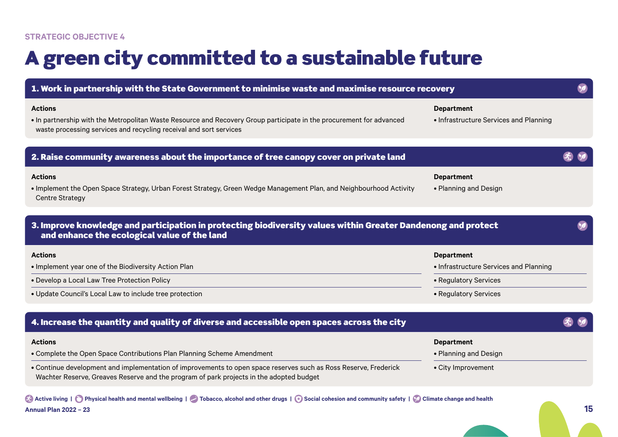### **STRATEGIC OBJECTIVE 4**

# A green city committed to a sustainable future

| 1. Work in partnership with the State Government to minimise waste and maximise resource recovery                                                                                                            |                                                             |  |
|--------------------------------------------------------------------------------------------------------------------------------------------------------------------------------------------------------------|-------------------------------------------------------------|--|
| <b>Actions</b><br>. In partnership with the Metropolitan Waste Resource and Recovery Group participate in the procurement for advanced<br>waste processing services and recycling receival and sort services | <b>Department</b><br>• Infrastructure Services and Planning |  |
| 2. Raise community awareness about the importance of tree canopy cover on private land                                                                                                                       |                                                             |  |
| <b>Actions</b><br>• Implement the Open Space Strategy, Urban Forest Strategy, Green Wedge Management Plan, and Neighbourhood Activity<br><b>Centre Strategy</b>                                              | <b>Department</b><br>• Planning and Design                  |  |
| 3. Improve knowledge and participation in protecting biodiversity values within Greater Dandenong and protect<br>and enhance the ecological value of the land                                                |                                                             |  |
| <b>Actions</b>                                                                                                                                                                                               | <b>Department</b>                                           |  |
| . Implement year one of the Biodiversity Action Plan                                                                                                                                                         | • Infrastructure Services and Planning                      |  |
| • Develop a Local Law Tree Protection Policy                                                                                                                                                                 | • Regulatory Services                                       |  |
| · Update Council's Local Law to include tree protection                                                                                                                                                      | • Regulatory Services                                       |  |
| 4. Increase the quantity and quality of diverse and accessible open spaces across the city                                                                                                                   |                                                             |  |
| <b>Actions</b>                                                                                                                                                                                               | <b>Department</b>                                           |  |
| • Complete the Open Space Contributions Plan Planning Scheme Amendment                                                                                                                                       | • Planning and Design                                       |  |
| • Continue development and implementation of improvements to open space reserves such as Ross Reserve, Frederick<br>Wachter Reserve, Greaves Reserve and the program of park projects in the adopted budget  | • City Improvement                                          |  |
| Active living   O Physical health and mental wellbeing   O Tobacco, alcohol and other drugs   o Social cohesion and community safety   O Climate change and health                                           |                                                             |  |

**Annual Plan 2022 – 23 15**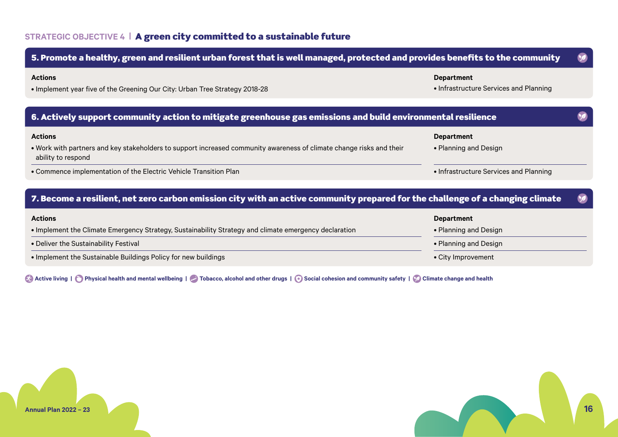### **STRATEGIC OBJECTIVE 4 |** A green city committed to a sustainable future



**Active living | Physical health and mental wellbeing | Active Tobacco, alcohol and other drugs | Active Social cohesion and community safety | Q Climate change and health** 



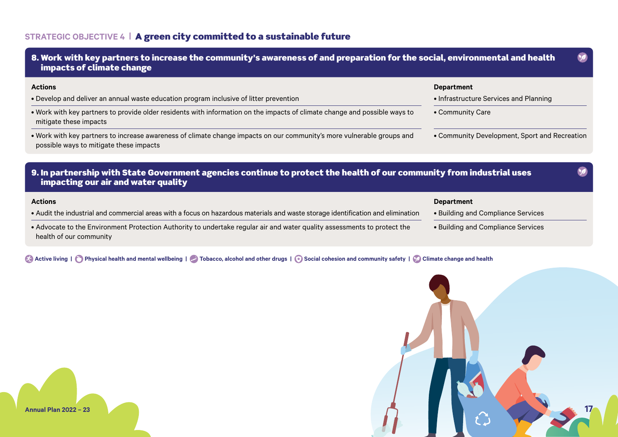### **STRATEGIC OBJECTIVE 4 |** A green city committed to a sustainable future



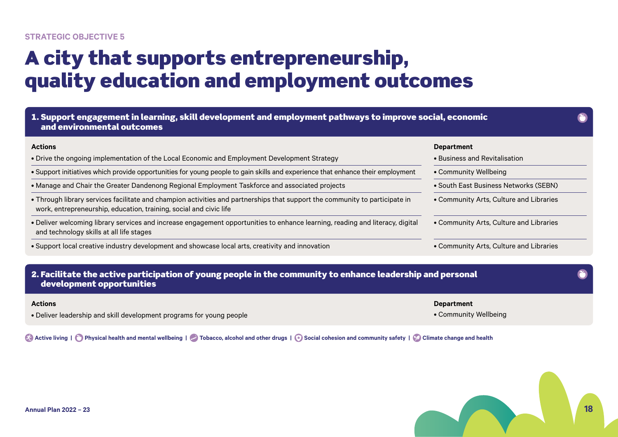### **STRATEGIC OBJECTIVE 5**

# A city that supports entrepreneurship, quality education and employment outcomes

| <b>Actions</b>                                                                                                                                                                                    | <b>Department</b>                       |
|---------------------------------------------------------------------------------------------------------------------------------------------------------------------------------------------------|-----------------------------------------|
| • Drive the ongoing implementation of the Local Economic and Employment Development Strategy                                                                                                      | $\bullet$ Business and Revitalisation.  |
| • Support initiatives which provide opportunities for young people to gain skills and experience that enhance their employment                                                                    | • Community Wellbeing                   |
| • Manage and Chair the Greater Dandenong Regional Employment Taskforce and associated projects                                                                                                    | • South East Business Networks (SEBN)   |
| • Through library services facilitate and champion activities and partnerships that support the community to participate in<br>work, entrepreneurship, education, training, social and civic life | • Community Arts, Culture and Libraries |
| . Deliver welcoming library services and increase engagement opportunities to enhance learning, reading and literacy, digital<br>and technology skills at all life stages                         | • Community Arts, Culture and Libraries |
| • Support local creative industry development and showcase local arts, creativity and innovation                                                                                                  | • Community Arts, Culture and Libraries |
|                                                                                                                                                                                                   |                                         |
| 2. Facilitate the active participation of young people in the community to enhance leadership and personal                                                                                        |                                         |

• Deliver leadership and skill development programs for young people

**Active living | Physical health and mental wellbeing | Active 1 Tobacco, alcohol and other drugs | Active Social cohesion and community safety | Q Climate change and health** 



• Community Wellbeing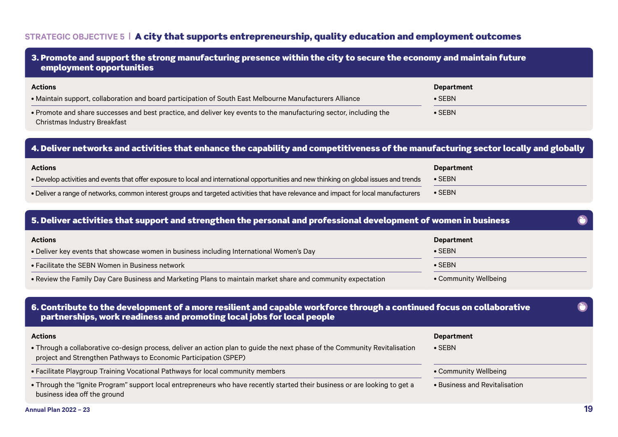### **STRATEGIC OBJECTIVE 5 |** A city that supports entrepreneurship, quality education and employment outcomes

| 3. Promote and support the strong manufacturing presence within the city to secure the economy and maintain future<br>employment opportunities     |                                     |  |
|----------------------------------------------------------------------------------------------------------------------------------------------------|-------------------------------------|--|
| <b>Actions</b><br>• Maintain support, collaboration and board participation of South East Melbourne Manufacturers Alliance                         | <b>Department</b><br>$\bullet$ SEBN |  |
| • Promote and share successes and best practice, and deliver key events to the manufacturing sector, including the<br>Christmas Industry Breakfast | $\bullet$ SEBN                      |  |

### 4. Deliver networks and activities that enhance the capability and competitiveness of the manufacturing sector locally and globally

| <b>Actions</b>                                                                                                                            | Department                |
|-------------------------------------------------------------------------------------------------------------------------------------------|---------------------------|
| • Develop activities and events that offer exposure to local and international opportunities and new thinking on global issues and trends | $\bullet$ SEBN            |
| • Deliver a range of networks, common interest groups and targeted activities that have relevance and impact for local manufacturers      | $\overline{\bullet}$ SEBN |

### 5. Deliver activities that support and strengthen the personal and professional development of women in business

| <b>Actions</b>                                                                                               | Department            |
|--------------------------------------------------------------------------------------------------------------|-----------------------|
| • Deliver key events that showcase women in business including International Women's Day                     | $\bullet$ SEBN        |
| • Facilitate the SEBN Women in Business network                                                              | $\bullet$ SEBN        |
| • Review the Family Day Care Business and Marketing Plans to maintain market share and community expectation | • Community Wellbeing |

### 6. Contribute to the development of a more resilient and capable workforce through a continued focus on collaborative partnerships, work readiness and promoting local jobs for local people

#### **Actions**

### • Through a collaborative co-design process, deliver an action plan to guide the next phase of the Community Revitalisation project and Strengthen Pathways to Economic Participation (SPEP)

- Facilitate Playgroup Training Vocational Pathways for local community members
- Through the "Ignite Program" support local entrepreneurs who have recently started their business or are looking to get a business idea off the ground

#### **Department**

- SEBN
- Community Wellbeing
- Business and Revitalisation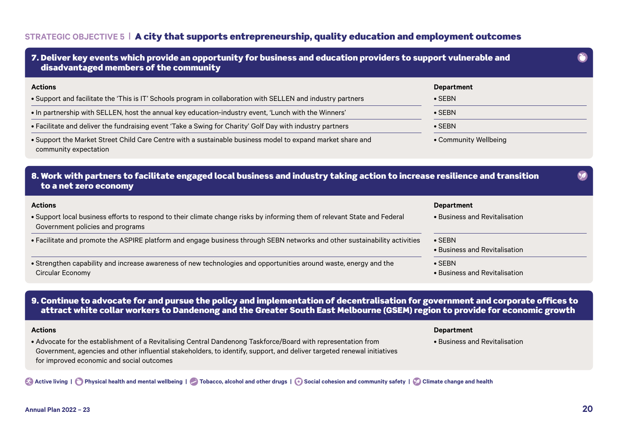### **STRATEGIC OBJECTIVE 5 |** A city that supports entrepreneurship, quality education and employment outcomes

| 7. Deliver key events which provide an opportunity for business and education providers to support vulnerable and<br>disadvantaged members of the community   |                                                 |  |
|---------------------------------------------------------------------------------------------------------------------------------------------------------------|-------------------------------------------------|--|
| <b>Actions</b><br>. Support and facilitate the 'This is IT' Schools program in collaboration with SELLEN and industry partners                                | <b>Department</b><br>$\bullet$ SEBN             |  |
| . In partnership with SELLEN, host the annual key education-industry event, 'Lunch with the Winners'                                                          | $\bullet$ SEBN                                  |  |
| . Facilitate and deliver the fundraising event 'Take a Swing for Charity' Golf Day with industry partners                                                     | $\bullet$ SEBN                                  |  |
| . Support the Market Street Child Care Centre with a sustainable business model to expand market share and                                                    | • Community Wellbeing                           |  |
| community expectation                                                                                                                                         |                                                 |  |
| 8. Work with partners to facilitate engaged local business and industry taking action to increase resilience and transition<br>to a net zero economy          |                                                 |  |
| <b>Actions</b>                                                                                                                                                | <b>Department</b>                               |  |
| • Support local business efforts to respond to their climate change risks by informing them of relevant State and Federal<br>Government policies and programs | • Business and Revitalisation                   |  |
| • Facilitate and promote the ASPIRE platform and engage business through SEBN networks and other sustainability activities                                    | $\bullet$ SEBN<br>• Business and Revitalisation |  |

### 9. Continue to advocate for and pursue the policy and implementation of decentralisation for government and corporate offices to attract white collar workers to Dandenong and the Greater South East Melbourne (GSEM) region to provide for economic growth

#### **Actions**

### **Department**

• Business and Revitalisation

• Advocate for the establishment of a Revitalising Central Dandenong Taskforce/Board with representation from Government, agencies and other influential stakeholders, to identify, support, and deliver targeted renewal initiatives for improved economic and social outcomes

**Active living | Physical health and mental wellbeing | Active 1 Tobacco, alcohol and other drugs | A Social cohesion and community safety | C Climate change and health**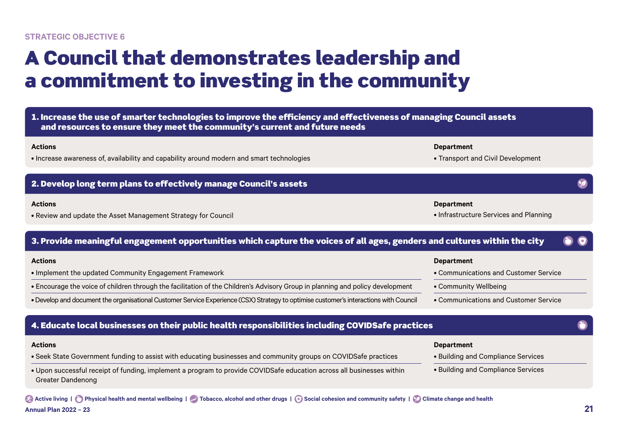# A Council that demonstrates leadership and a commitment to investing in the community

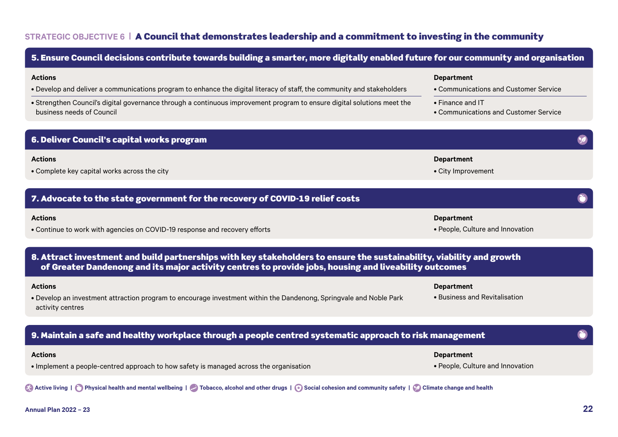# **STRATEGIC OBJECTIVE 6 |** A Council that demonstrates leadership and a commitment to investing in the community

5. Ensure Council decisions contribute towards building a smarter, more digitally enabled future for our community and organisation

| <b>Actions</b><br>. Develop and deliver a communications program to enhance the digital literacy of staff, the community and stakeholders<br>• Strengthen Council's digital governance through a continuous improvement program to ensure digital solutions meet the<br>business needs of Council | <b>Department</b><br>• Communications and Customer Service<br>• Finance and IT<br>• Communications and Customer Service |  |
|---------------------------------------------------------------------------------------------------------------------------------------------------------------------------------------------------------------------------------------------------------------------------------------------------|-------------------------------------------------------------------------------------------------------------------------|--|
| 6. Deliver Council's capital works program                                                                                                                                                                                                                                                        |                                                                                                                         |  |
| <b>Actions</b><br>• Complete key capital works across the city                                                                                                                                                                                                                                    | <b>Department</b><br>• City Improvement                                                                                 |  |
| 7. Advocate to the state government for the recovery of COVID-19 relief costs                                                                                                                                                                                                                     |                                                                                                                         |  |
| <b>Actions</b><br>• Continue to work with agencies on COVID-19 response and recovery efforts                                                                                                                                                                                                      | <b>Department</b><br>• People, Culture and Innovation                                                                   |  |
| 8. Attract investment and build partnerships with key stakeholders to ensure the sustainability, viability and growth<br>of Greater Dandenong and its major activity centres to provide jobs, housing and liveability outcomes                                                                    |                                                                                                                         |  |
| <b>Actions</b><br>. Develop an investment attraction program to encourage investment within the Dandenong, Springvale and Noble Park<br>activity centres                                                                                                                                          | <b>Department</b><br>• Business and Revitalisation                                                                      |  |
| 9. Maintain a safe and healthy workplace through a people centred systematic approach to risk management                                                                                                                                                                                          |                                                                                                                         |  |
| <b>Actions</b><br>• Implement a people-centred approach to how safety is managed across the organisation                                                                                                                                                                                          | <b>Department</b><br>• People, Culture and Innovation                                                                   |  |
| Active living   C Physical health and mental wellbeing   C Tobacco, alcohol and other drugs   @ Social cohesion and community safety   @ Climate change and health                                                                                                                                |                                                                                                                         |  |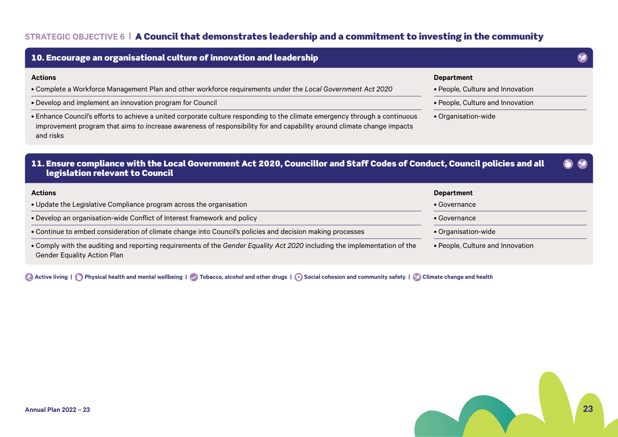# **STRATEGIC OBJECTIVE 6 |** A Council that demonstrates leadership and a commitment to investing in the community

| 10. Encourage an organisational culture of innovation and leadership                                                                                                                                                                                                                                                                                                                                                                                            |                                                                                                                  |
|-----------------------------------------------------------------------------------------------------------------------------------------------------------------------------------------------------------------------------------------------------------------------------------------------------------------------------------------------------------------------------------------------------------------------------------------------------------------|------------------------------------------------------------------------------------------------------------------|
| <b>Actions</b><br>. Complete a Workforce Management Plan and other workforce requirements under the Local Government Act 2020<br>• Develop and implement an innovation program for Council<br>. Enhance Council's efforts to achieve a united corporate culture responding to the climate emergency through a continuous<br>improvement program that aims to increase awareness of responsibility for and capability around climate change impacts<br>and risks | <b>Department</b><br>• People, Culture and Innovation<br>• People, Culture and Innovation<br>• Organisation-wide |
| 11. Ensure compliance with the Local Government Act 2020, Councillor and Staff Codes of Conduct, Council policies and all<br>legislation relevant to Council                                                                                                                                                                                                                                                                                                    |                                                                                                                  |
| <b>Actions</b>                                                                                                                                                                                                                                                                                                                                                                                                                                                  | <b>Department</b>                                                                                                |
| • Update the Legislative Compliance program across the organisation                                                                                                                                                                                                                                                                                                                                                                                             | $\bullet$ Governance                                                                                             |
| • Develop an organisation-wide Conflict of Interest framework and policy                                                                                                                                                                                                                                                                                                                                                                                        | $\bullet$ Governance                                                                                             |
| • Continue to embed consideration of climate change into Council's policies and decision making processes                                                                                                                                                                                                                                                                                                                                                       | • Organisation-wide                                                                                              |
| . Comply with the auditing and reporting requirements of the Gender Equality Act 2020 including the implementation of the<br><b>Gender Equality Action Plan</b>                                                                                                                                                                                                                                                                                                 | • People, Culture and Innovation                                                                                 |

**Active living | C** Physical health and mental wellbeing | C Tobacco, alcohol and other drugs | **C** Social cohesion and community safety | **C** Climate change and health